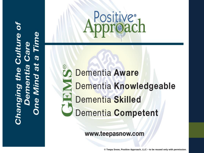# Ø  $\bar{\mathfrak{a}}$  $\mathbf{d}$ changing



Positive<sup>®</sup>

www.teepasnow.com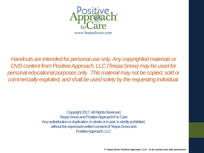

*Handouts are intended for personal use only.Any copyrighted materials or DVD content from Positive Approach, LLC (Teepa Snow) may be used for personal educational purposes only. This material may not be copied, sold or commercially exploited, and shall be used solely by the requesting individual.*

> Copyright 2017, All Rights Reserved Teepa Snow and Positive Approach® to Care Any redistribution or duplication, in whole or in part, is strictly prohibited, without the expressed written consent of Teepa Snow and Positive Approach, LLC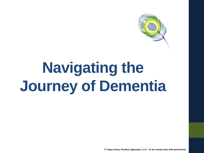

# **Navigating the Journey of Dementia**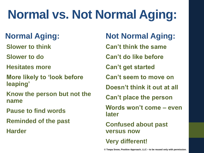### **Normal vs. Not Normal Aging:**

#### **Normal Aging:**

**Slower to think**

**Slower to do**

**Hesitates more**

**More likely to 'look before leaping'**

**Know the person but not the name**

**Pause to find words**

**Reminded of the past**

**Harder**

**Not Normal Aging: Can't think the same Can't do like before Can't get started Can't seem to move on Doesn't think it out at all Can't place the person Words won't come – even later Confused about past versus now Very different!**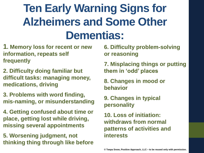#### **Ten Early Warning Signs for Alzheimers and Some Other Dementias:**

- **1. Memory loss for recent or new information, repeats self frequently**
- **2. Difficulty doing familiar but difficult tasks: managing money, medications, driving**
- **3. Problems with word finding, mis-naming, or misunderstanding**
- **4. Getting confused about time or place, getting lost while driving, missing several appointments**
- **5. Worsening judgment, not thinking thing through like before**

**6. Difficulty problem-solving or reasoning**

- **7. Misplacing things or putting them in 'odd' places**
- **8. Changes in mood or behavior**
- **9. Changes in typical personality**
- **10. Loss of initiation: withdraws from normal patterns of activities and interests**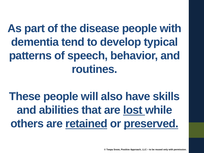**As part of the disease people with dementia tend to develop typical patterns of speech, behavior, and routines.** 

**These people will also have skills and abilities that are lost while others are retained or preserved.**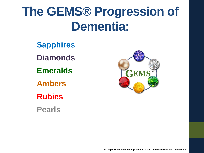#### **The GEMS® Progression of Dementia:**

- **Sapphires**
- **Diamonds**
- **Emeralds**
- **Ambers**
- **Rubies**
- **Pearls**

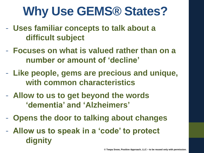#### **Why Use GEMS® States?**

- **Uses familiar concepts to talk about a difficult subject**
- **Focuses on what is valued rather than on a number or amount of 'decline'**
- **Like people, gems are precious and unique, with common characteristics**
- **Allow to us to get beyond the words 'dementia' and 'Alzheimers'**
- **Opens the door to talking about changes**
- **Allow us to speak in a 'code' to protect dignity**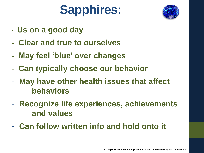### **Sapphires:**



- **- Us on a good day**
- **- Clear and true to ourselves**
- **- May feel 'blue' over changes**
- **- Can typically choose our behavior**
- **May have other health issues that affect behaviors**
- **Recognize life experiences, achievements and values**
- **Can follow written info and hold onto it**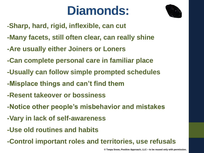#### **Diamonds:**



- **-Sharp, hard, rigid, inflexible, can cut**
- **-Many facets, still often clear, can really shine**
- **-Are usually either Joiners or Loners**
- **-Can complete personal care in familiar place**
- **-Usually can follow simple prompted schedules**
- **-Misplace things and can't find them**
- **-Resent takeover or bossiness**
- **-Notice other people's misbehavior and mistakes**
- **-Vary in lack of self-awareness**
- **-Use old routines and habits**
- **-Control important roles and territories, use refusals**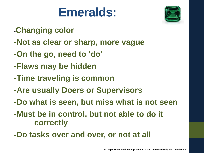#### **Emeralds:**



- -**Changing color**
- **-Not as clear or sharp, more vague**
- **-On the go, need to 'do'**
- **-Flaws may be hidden**
- **-Time traveling is common**
- **-Are usually Doers or Supervisors**
- **-Do what is seen, but miss what is not seen**
- **-Must be in control, but not able to do it correctly**
- **-Do tasks over and over, or not at all**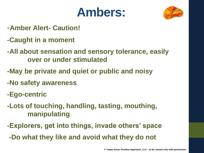#### **Ambers:**



- -**Amber Alert- Caution!**
- **-Caught in a moment**
- **-All about sensation and sensory tolerance, easily over or under stimulated**
- **-May be private and quiet or public and noisy**
- **-No safety awareness**
- **-Ego-centric**
- **-Lots of touching, handling, tasting, mouthing, manipulating**
- **-Explorers, get into things, invade others' space**
- **-Do what they like and avoid what they do not**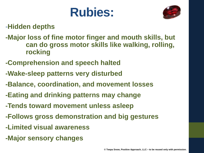#### **Rubies:**



-**Hidden depths**

- **-Major loss of fine motor finger and mouth skills, but can do gross motor skills like walking, rolling, rocking**
- **-Comprehension and speech halted**
- **-Wake-sleep patterns very disturbed**
- **-Balance, coordination, and movement losses**
- **-Eating and drinking patterns may change**
- **-Tends toward movement unless asleep**
- **-Follows gross demonstration and big gestures**
- **-Limited visual awareness**
- **-Major sensory changes**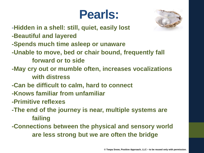#### **Pearls:**



- -**Hidden in a shell: still, quiet, easily lost**
- **-Beautiful and layered**
- **-Spends much time asleep or unaware**
- **-Unable to move, bed or chair bound, frequently fall** 
	- **forward or to side**
- **-May cry out or mumble often, increases vocalizations with distress**
- **-Can be difficult to calm, hard to connect**
- **-Knows familiar from unfamiliar**
- **-Primitive reflexes**
- **-The end of the journey is near, multiple systems are failing**
- **-Connections between the physical and sensory world are less strong but we are often the bridge**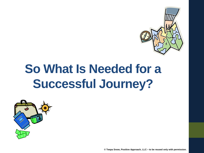

#### **So What Is Needed for a Successful Journey?**

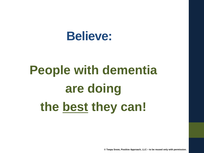#### **Believe:**

## **People with dementia are doing the best they can!**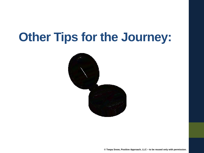#### **Other Tips for the Journey:**

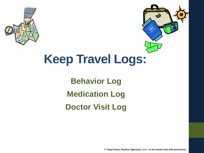



#### **Keep Travel Logs:**

**Behavior Log Medication Log Doctor Visit Log**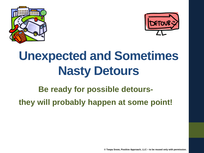



### **Unexpected and Sometimes Nasty Detours**

**Be ready for possible detoursthey will probably happen at some point!**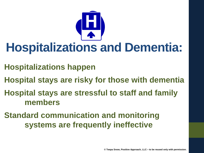

#### **Hospitalizations and Dementia:**

- **Hospitalizations happen**
- **Hospital stays are risky for those with dementia**
- **Hospital stays are stressful to staff and family members**
- **Standard communication and monitoring systems are frequently ineffective**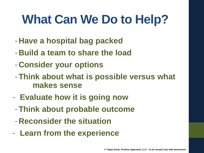### **What Can We Do to Help?**

- -**Have a hospital bag packed**
- -**Build a team to share the load**
- -**Consider your options**
- -**Think about what is possible versus what makes sense**
- **Evaluate how it is going now** 
	- -**Think about probable outcome**
	- -**Reconsider the situation**
- **Learn from the experience**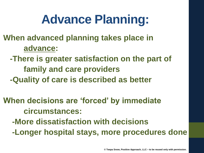#### **Advance Planning:**

**When advanced planning takes place in advance:**

- **-There is greater satisfaction on the part of family and care providers**
- **-Quality of care is described as better**

**When decisions are 'forced' by immediate circumstances: -More dissatisfaction with decisions -Longer hospital stays, more procedures done**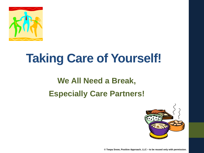

#### **Taking Care of Yourself!**

#### **We All Need a Break, Especially Care Partners!**

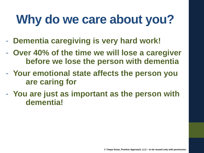### **Why do we care about you?**

- **Dementia caregiving is very hard work!**
- **Over 40% of the time we will lose a caregiver before we lose the person with dementia**
- **Your emotional state affects the person you are caring for**
- **You are just as important as the person with dementia!**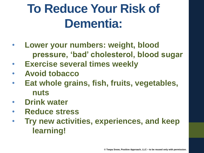### **To Reduce Your Risk of Dementia:**

- **Lower your numbers: weight, blood pressure, 'bad' cholesterol, blood sugar**
- **Exercise several times weekly**
- **Avoid tobacco**
- **Eat whole grains, fish, fruits, vegetables, nuts**
- **Drink water**
- **Reduce stress**
- **Try new activities, experiences, and keep learning!**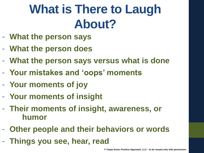### **What is There to Laugh About?**

- **What the person says**
- **What the person does**
- **What the person says versus what is done**
- **Your mistakes and 'oops' moments**
- **Your moments of joy**
- **Your moments of insight**
- **Their moments of insight, awareness, or humor**
- **Other people and their behaviors or words**
- **Things you see, hear, read**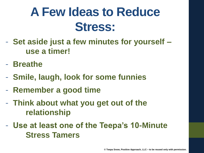#### **A Few Ideas to Reduce Stress:**

- **Set aside just a few minutes for yourself – use a timer!**
- **Breathe**
- **Smile, laugh, look for some funnies**
- **Remember a good time**
- **Think about what you get out of the relationship**
- **Use at least one of the Teepa's 10-Minute Stress Tamers**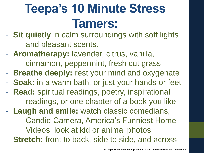- **Sit quietly** in calm surroundings with soft lights and pleasant scents.
- **Aromatherapy:** lavender, citrus, vanilla, cinnamon, peppermint, fresh cut grass.
- **Breathe deeply:** rest your mind and oxygenate
- **Soak:** in a warm bath, or just your hands or feet
- **Read:** spiritual readings, poetry, inspirational readings, or one chapter of a book you like
- **Laugh and smile:** watch classic comedians, Candid Camera, America's Funniest Home Videos, look at kid or animal photos
- **Stretch:** front to back, side to side, and across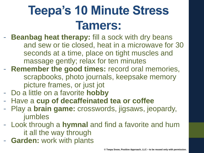- **Beanbag heat therapy:** fill a sock with dry beans and sew or tie closed, heat in a microwave for 30 seconds at a time, place on tight muscles and massage gently; relax for ten minutes
- **Remember the good times:** record oral memories, scrapbooks, photo journals, keepsake memory picture frames, or just jot
- Do a little on a favorite **hobby**
- Have a **cup of decaffeinated tea or coffee**
- Play a **brain game:** crosswords, jigsaws, jeopardy, jumbles
- Look through a **hymnal** and find a favorite and hum it all the way through
- **Garden: work with plants**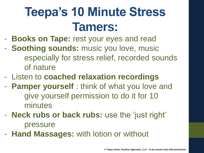- **Books on Tape:** rest your eyes and read
- **Soothing sounds:** music you love, music especially for stress relief, recorded sounds of nature
- Listen to **coached relaxation recordings**
- **Pamper yourself** : think of what you love and give yourself permission to do it for 10 minutes
- **Neck rubs or back rubs:** use the 'just right' pressure
- **Hand Massages:** with lotion or without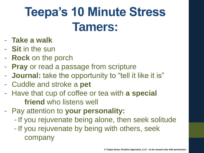- **Take a walk**
- **Sit** in the sun
- **Rock** on the porch
- **Pray** or read a passage from scripture
- **Journal:** take the opportunity to "tell it like it is"
- Cuddle and stroke a **pet**
- Have that cup of coffee or tea with **a special friend** who listens well
- Pay attention to **your personality:**
	- If you rejuvenate being alone, then seek solitude
	- If you rejuvenate by being with others, seek company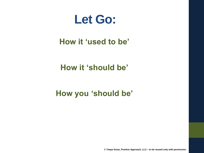

#### **How it 'used to be'**

#### **How it 'should be'**

#### **How you 'should be'**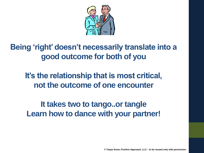

#### **Being 'right' doesn't necessarily translate into a good outcome for both of you**

**It's the relationship that is most critical, not the outcome of one encounter**

**It takes two to tango..or tangle Learn how to dance with your partner!**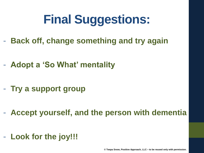### **Final Suggestions:**

- **Back off, change something and try again**
- **Adopt a 'So What' mentality**
- **Try a support group**
- **Accept yourself, and the person with dementia**
- **Look for the joy!!!**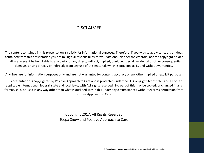#### DISCI AIMER

The content contained in this presentation is strictly for informational purposes. Therefore, if you wish to apply concepts or ideas contained from this presentation you are taking full responsibility for your actions. Neither the creators, nor the copyright holder shall in any event be held liable to any party for any direct, indirect, implied, punitive, special, incidental or other consequential damages arising directly or indirectly from any use of this material, which is provided as is, and without warranties.

Any links are for information purposes only and are not warranted for content, accuracy or any other implied or explicit purpose.

This presentation is copyrighted by Positive Approach to Care and is protected under the US Copyright Act of 1976 and all other applicable international, federal, state and local laws, with ALL rights reserved. No part of this may be copied, or changed in any format, sold, or used in any way other than what is outlined within this under any circumstances without express permission from Positive Approach to Care.

> Copyright 2017, All Rights Reserved Teepa Snow and Positive Approach to Care